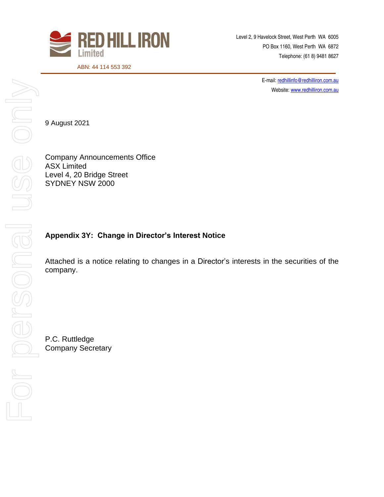

Level 2, 9 Havelock Street, West Perth WA 6005 PO Box 1160, West Perth WA 6872 Telephone: (61 8) 9481 8627

ABN: 44 114 553 392

E-mail[: redhillinfo@redhilliron.com.au](mailto:redhillinfo@redhilliron.com.au) Website[: www.redhilliron.com.au](http://www.redhilliron.com.au/)

9 August 2021

Company Announcements Office ASX Limited Level 4, 20 Bridge Street SYDNEY NSW 2000

## **Appendix 3Y: Change in Director's Interest Notice**

Attached is a notice relating to changes in a Director's interests in the securities of the company.

P.C. Ruttledge Company Secretary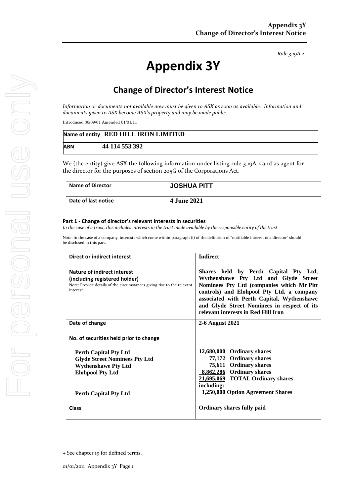*Rule 3.19A.2*

# **Appendix 3Y**

# **Change of Director's Interest Notice**

*Information or documents not available now must be given to ASX as soon as available. Information and documents given to ASX become ASX's property and may be made public.*

Introduced 30/09/01 Amended 01/01/11

|            | Name of entity RED HILL IRON LIMITED |
|------------|--------------------------------------|
| <b>ABN</b> | 44 114 553 392                       |

We (the entity) give ASX the following information under listing rule 3.19A.2 and as agent for the director for the purposes of section 205G of the Corporations Act.

| <b>Name of Director</b> | JOSHUA PITT        |
|-------------------------|--------------------|
| Date of last notice     | <b>4 June 2021</b> |

#### **Part 1 - Change of director's relevant interests in securities**

*In the case of a trust, this includes interests in the trust made available by the responsible entity of the trust*

Note: In the case of a company, interests which come within paragraph (i) of the definition of "notifiable interest of a director" should be disclosed in this part.

| <b>Direct or indirect interest</b>                                                                                                                            | <b>Indirect</b>                                                                                                                                                                                                                                                                                             |  |
|---------------------------------------------------------------------------------------------------------------------------------------------------------------|-------------------------------------------------------------------------------------------------------------------------------------------------------------------------------------------------------------------------------------------------------------------------------------------------------------|--|
| Nature of indirect interest<br>(including registered holder)<br>Note: Provide details of the circumstances giving rise to the relevant<br>interest.           | Shares held by Perth Capital Pty Ltd,<br>Wythenshawe Pty Ltd and Glyde Street<br>Nominees Pty Ltd (companies which Mr Pitt<br>controls) and Elohpool Pty Ltd, a company<br>associated with Perth Capital, Wythenshawe<br>and Glyde Street Nominees in respect of its<br>relevant interests in Red Hill Iron |  |
| Date of change                                                                                                                                                | 2-6 August 2021                                                                                                                                                                                                                                                                                             |  |
| No. of securities held prior to change                                                                                                                        |                                                                                                                                                                                                                                                                                                             |  |
| <b>Perth Capital Pty Ltd</b><br><b>Glyde Street Nominees Pty Ltd</b><br><b>Wythenshawe Pty Ltd</b><br><b>Elohpool Pty Ltd</b><br><b>Perth Capital Pty Ltd</b> | 12,680,000 Ordinary shares<br>77,172 Ordinary shares<br>75,611 Ordinary shares<br>8,862,286 Ordinary shares<br>21,695,069 TOTAL Ordinary shares<br>including:<br>1,250,000 Option Agreement Shares                                                                                                          |  |
| <b>Class</b>                                                                                                                                                  | <b>Ordinary shares fully paid</b>                                                                                                                                                                                                                                                                           |  |

<sup>+</sup> See chapter 19 for defined terms.